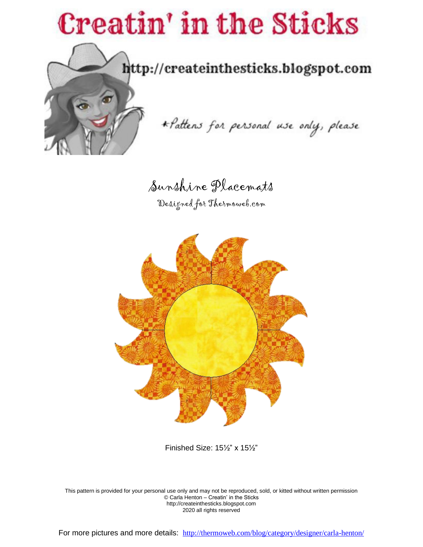# **Creatin' in the Sticks**



http://createinthesticks.blogspot.com

\* Pattens for personal use only, please

Sunshine Placemats

Designed for Thermoweb.com



Finished Size: 15½" x 15½"

This pattern is provided for your personal use only and may not be reproduced, sold, or kitted without written permission © Carla Henton – Creatin' in the Sticks http://createinthesticks.blogspot.com 2020 all rights reserved

For more pictures and more details: <http://thermoweb.com/blog/category/designer/carla-henton/>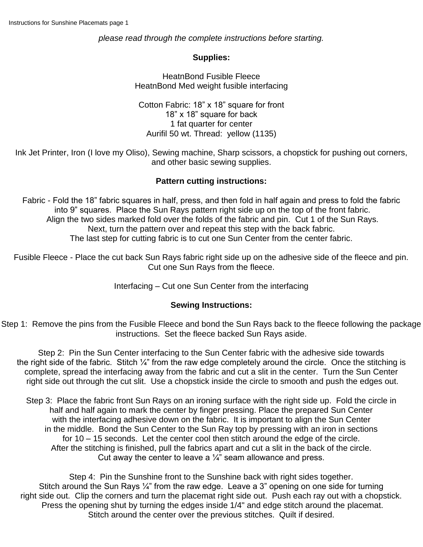*please read through the complete instructions before starting.*

#### **Supplies:**

HeatnBond Fusible Fleece HeatnBond Med weight fusible interfacing

Cotton Fabric: 18" x 18" square for front 18" x 18" square for back 1 fat quarter for center Aurifil 50 wt. Thread: yellow (1135)

Ink Jet Printer, Iron (I love my Oliso), Sewing machine, Sharp scissors, a chopstick for pushing out corners, and other basic sewing supplies.

### **Pattern cutting instructions:**

Fabric - Fold the 18" fabric squares in half, press, and then fold in half again and press to fold the fabric into 9" squares. Place the Sun Rays pattern right side up on the top of the front fabric. Align the two sides marked fold over the folds of the fabric and pin. Cut 1 of the Sun Rays. Next, turn the pattern over and repeat this step with the back fabric. The last step for cutting fabric is to cut one Sun Center from the center fabric.

Fusible Fleece - Place the cut back Sun Rays fabric right side up on the adhesive side of the fleece and pin. Cut one Sun Rays from the fleece.

Interfacing – Cut one Sun Center from the interfacing

#### **Sewing Instructions:**

Step 1: Remove the pins from the Fusible Fleece and bond the Sun Rays back to the fleece following the package instructions. Set the fleece backed Sun Rays aside.

Step 2: Pin the Sun Center interfacing to the Sun Center fabric with the adhesive side towards the right side of the fabric. Stitch 1/4" from the raw edge completely around the circle. Once the stitching is complete, spread the interfacing away from the fabric and cut a slit in the center. Turn the Sun Center right side out through the cut slit. Use a chopstick inside the circle to smooth and push the edges out.

Step 3: Place the fabric front Sun Rays on an ironing surface with the right side up. Fold the circle in half and half again to mark the center by finger pressing. Place the prepared Sun Center with the interfacing adhesive down on the fabric. It is important to align the Sun Center in the middle. Bond the Sun Center to the Sun Ray top by pressing with an iron in sections for 10 – 15 seconds. Let the center cool then stitch around the edge of the circle. After the stitching is finished, pull the fabrics apart and cut a slit in the back of the circle. Cut away the center to leave a  $\frac{1}{4}$ " seam allowance and press.

Step 4: Pin the Sunshine front to the Sunshine back with right sides together. Stitch around the Sun Rays  $\frac{1}{4}$ " from the raw edge. Leave a 3" opening on one side for turning right side out. Clip the corners and turn the placemat right side out. Push each ray out with a chopstick. Press the opening shut by turning the edges inside 1/4" and edge stitch around the placemat. Stitch around the center over the previous stitches. Quilt if desired.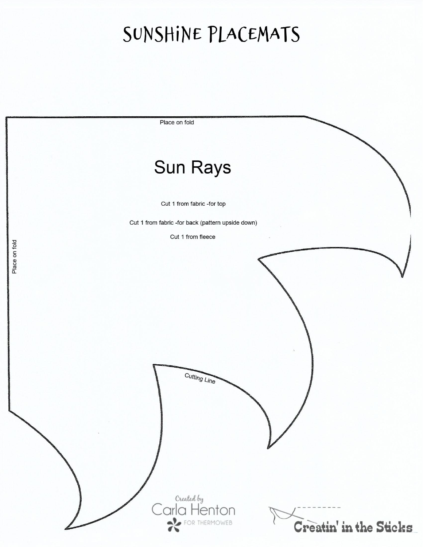## SUNSHINE PLACEMATS